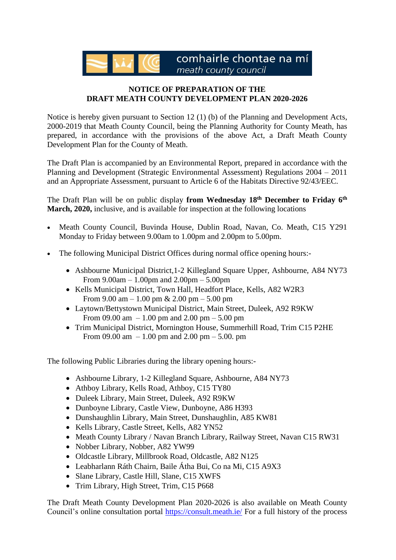comhairle chontae na mí meath county council

## **NOTICE OF PREPARATION OF THE DRAFT MEATH COUNTY DEVELOPMENT PLAN 2020-2026**

Notice is hereby given pursuant to Section 12 (1) (b) of the Planning and Development Acts, 2000-2019 that Meath County Council, being the Planning Authority for County Meath, has prepared, in accordance with the provisions of the above Act, a Draft Meath County Development Plan for the County of Meath.

The Draft Plan is accompanied by an Environmental Report, prepared in accordance with the Planning and Development (Strategic Environmental Assessment) Regulations 2004 – 2011 and an Appropriate Assessment, pursuant to Article 6 of the Habitats Directive 92/43/EEC.

The Draft Plan will be on public display **from Wednesday 18th December to Friday 6 th March, 2020,** inclusive, and is available for inspection at the following locations

- Meath County Council, Buvinda House, Dublin Road, Navan, Co. Meath, C15 Y291 Monday to Friday between 9.00am to 1.00pm and 2.00pm to 5.00pm.
- The following Municipal District Offices during normal office opening hours:-
	- Ashbourne Municipal District, 1-2 Killegland Square Upper, Ashbourne, A84 NY73 From 9.00am – 1.00pm and 2.00pm – 5.00pm
	- Kells Municipal District, Town Hall, Headfort Place, Kells, A82 W2R3 From 9.00 am  $-1.00$  pm & 2.00 pm  $-5.00$  pm
	- Laytown/Bettystown Municipal District, Main Street, Duleek, A92 R9KW From 09.00 am  $-1.00$  pm and 2.00 pm  $-5.00$  pm
	- Trim Municipal District, Mornington House, Summerhill Road, Trim C15 P2HE From 09.00 am  $-1.00$  pm and 2.00 pm  $-5.00$ . pm

The following Public Libraries during the library opening hours:-

- Ashbourne Library, 1-2 Killegland Square, Ashbourne, A84 NY73
- Athboy Library, Kells Road, Athboy, C15 TY80
- Duleek Library, Main Street, Duleek, A92 R9KW
- Dunboyne Library, Castle View, Dunboyne, A86 H393
- Dunshaughlin Library, Main Street, Dunshaughlin, A85 KW81
- Kells Library, Castle Street, Kells, A82 YN52
- Meath County Library / Navan Branch Library, Railway Street, Navan C15 RW31
- Nobber Library, Nobber, A82 YW99
- Oldcastle Library, Millbrook Road, Oldcastle, A82 N125
- Leabharlann Ráth Chairn, Baile Átha Bui, Co na Mi, C15 A9X3
- Slane Library, Castle Hill, Slane, C15 XWFS
- Trim Library, High Street, Trim, C15 P668

The Draft Meath County Development Plan 2020-2026 is also available on Meath County Council's online consultation portal <https://consult.meath.ie/> For a full history of the process